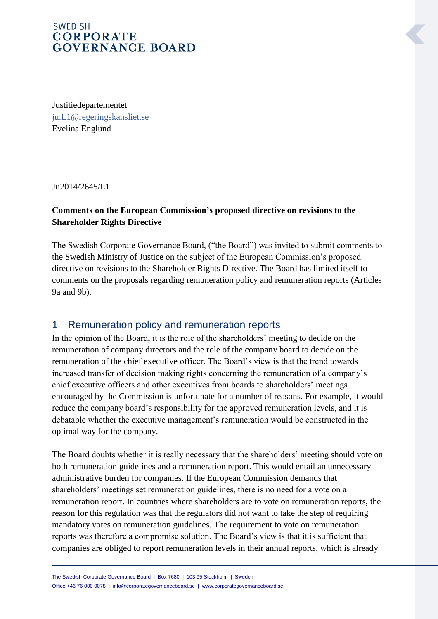### **SWEDISH CORPORATE GOVERNANCE BOARD**

Justitiedepartementet [ju.L1@regeringskansliet.se](mailto:ju.L1@regeringskansliet.se) Evelina Englund

Ju2014/2645/L1

#### **Comments on the European Commission's proposed directive on revisions to the Shareholder Rights Directive**

The Swedish Corporate Governance Board, ("the Board") was invited to submit comments to the Swedish Ministry of Justice on the subject of the European Commission's proposed directive on revisions to the Shareholder Rights Directive. The Board has limited itself to comments on the proposals regarding remuneration policy and remuneration reports (Articles 9a and 9b).

## 1 Remuneration policy and remuneration reports

In the opinion of the Board, it is the role of the shareholders' meeting to decide on the remuneration of company directors and the role of the company board to decide on the remuneration of the chief executive officer. The Board's view is that the trend towards increased transfer of decision making rights concerning the remuneration of a company's chief executive officers and other executives from boards to shareholders' meetings encouraged by the Commission is unfortunate for a number of reasons. For example, it would reduce the company board's responsibility for the approved remuneration levels, and it is debatable whether the executive management's remuneration would be constructed in the optimal way for the company.

The Board doubts whether it is really necessary that the shareholders' meeting should vote on both remuneration guidelines and a remuneration report. This would entail an unnecessary administrative burden for companies. If the European Commission demands that shareholders' meetings set remuneration guidelines, there is no need for a vote on a remuneration report. In countries where shareholders are to vote on remuneration reports, the reason for this regulation was that the regulators did not want to take the step of requiring mandatory votes on remuneration guidelines. The requirement to vote on remuneration reports was therefore a compromise solution. The Board's view is that it is sufficient that companies are obliged to report remuneration levels in their annual reports, which is already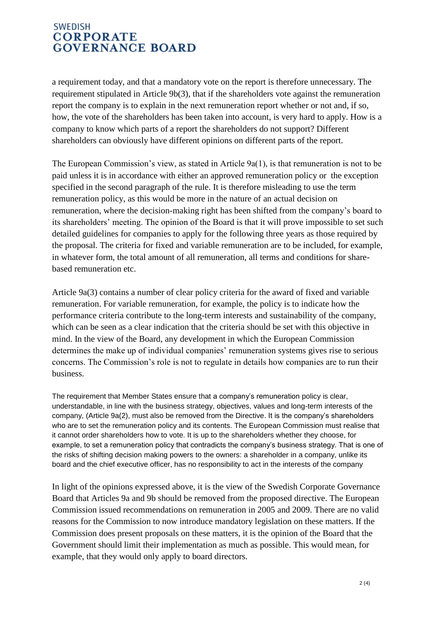### **SWEDISH CORPORATE GOVERNANCE BOARD**

a requirement today, and that a mandatory vote on the report is therefore unnecessary. The requirement stipulated in Article 9b(3), that if the shareholders vote against the remuneration report the company is to explain in the next remuneration report whether or not and, if so, how, the vote of the shareholders has been taken into account, is very hard to apply. How is a company to know which parts of a report the shareholders do not support? Different shareholders can obviously have different opinions on different parts of the report.

The European Commission's view, as stated in Article 9a(1), is that remuneration is not to be paid unless it is in accordance with either an approved remuneration policy or the exception specified in the second paragraph of the rule. It is therefore misleading to use the term remuneration policy, as this would be more in the nature of an actual decision on remuneration, where the decision-making right has been shifted from the company's board to its shareholders' meeting. The opinion of the Board is that it will prove impossible to set such detailed guidelines for companies to apply for the following three years as those required by the proposal. The criteria for fixed and variable remuneration are to be included, for example, in whatever form, the total amount of all remuneration, all terms and conditions for sharebased remuneration etc.

Article 9a(3) contains a number of clear policy criteria for the award of fixed and variable remuneration. For variable remuneration, for example, the policy is to indicate how the performance criteria contribute to the long-term interests and sustainability of the company, which can be seen as a clear indication that the criteria should be set with this objective in mind. In the view of the Board, any development in which the European Commission determines the make up of individual companies' remuneration systems gives rise to serious concerns. The Commission's role is not to regulate in details how companies are to run their business.

The requirement that Member States ensure that a company's remuneration policy is clear, understandable, in line with the business strategy, objectives, values and long-term interests of the company, (Article 9a(2), must also be removed from the Directive. It is the company's shareholders who are to set the remuneration policy and its contents. The European Commission must realise that it cannot order shareholders how to vote. It is up to the shareholders whether they choose, for example, to set a remuneration policy that contradicts the company's business strategy. That is one of the risks of shifting decision making powers to the owners: a shareholder in a company, unlike its board and the chief executive officer, has no responsibility to act in the interests of the company

In light of the opinions expressed above, it is the view of the Swedish Corporate Governance Board that Articles 9a and 9b should be removed from the proposed directive. The European Commission issued recommendations on remuneration in 2005 and 2009. There are no valid reasons for the Commission to now introduce mandatory legislation on these matters. If the Commission does present proposals on these matters, it is the opinion of the Board that the Government should limit their implementation as much as possible. This would mean, for example, that they would only apply to board directors.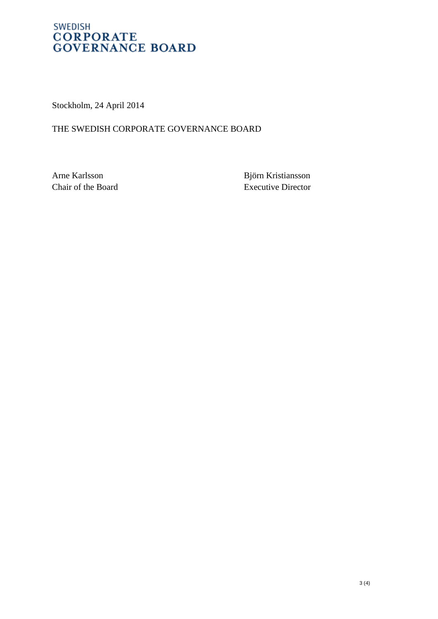### **SWEDISH CORPORATE GOVERNANCE BOARD**

Stockholm, 24 April 2014

#### THE SWEDISH CORPORATE GOVERNANCE BOARD

Arne Karlsson Björn Kristiansson Chair of the Board Executive Director